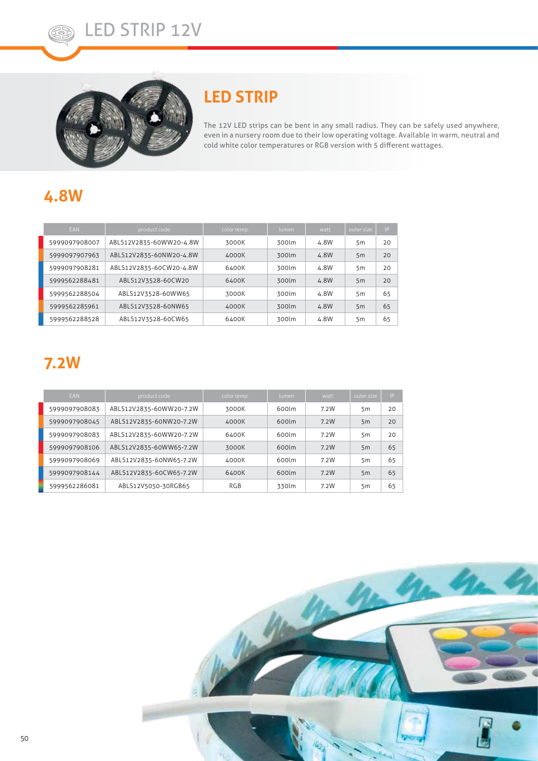

### **LED STRIP**

The 12V LED strips can be bent in any small radius. They can be safely used anywhere, even in a nursery room due to their low operating voltage. Available in warm, neutral and cold white color temperatures or RGB version with 5 different wattages.

# **4.8W**

| <b>EAN</b>    | product code            | color temp. | lumen | watt | outer size | IP |
|---------------|-------------------------|-------------|-------|------|------------|----|
| 5999097908007 | ABLS12V2835-60WW20-4.8W | 3000K       | 300lm | 4.8W | 5m         | 20 |
| 5999097907963 | ABLS12V2835-60NW20-4.8W | 4000K       | 300lm | 4.8W | 5m         | 20 |
| 5999097908281 | ABLS12V2835-60CW20-4.8W | 6400K       | 300lm | 4.8W | 5m         | 20 |
| 5999562288481 | ABLS12V3528-60CW20      | 6400K       | 300lm | 4.8W | 5m         | 20 |
| 5999562288504 | ABLS12V3528-60WW65      | 3000K       | 300lm | 4.8W | 5m         | 65 |
| 5999562285961 | ABLS12V3528-60NW65      | 4000K       | 300lm | 4.8W | 5m         | 65 |
| 5999562288528 | ABLS12V3528-60CW65      | 6400K       | 300lm | 4.8W | 5m         | 65 |

# **7.2W**

| <b>FAN</b>    | product code            | color temp. | lumen | watt | outer size | IP |
|---------------|-------------------------|-------------|-------|------|------------|----|
| 5999097908083 | ABLS12V2835-60WW20-7.2W | 3000K       | 600lm | 7.2W | 5m         | 20 |
| 5999097908045 | ABLS12V2835-60NW20-7.2W | 4000K       | 600lm | 7.2W | 5m         | 20 |
| 5999097908083 | ABLS12V2835-60WW20-7.2W | 6400K       | 600lm | 7.2W | 5m         | 20 |
| 5999097908106 | ABLS12V2835-60WW65-7.2W | 3000K       | 600lm | 7.2W | 5m         | 65 |
| 5999097908069 | ABLS12V2835-60NW65-7.2W | 4000K       | 600lm | 7.2W | 5m         | 65 |
| 5999097908144 | ABLS12V2835-60CW65-7.2W | 6400K       | 600lm | 7.2W | 5m         | 65 |
| 5999562286081 | ABLS12V5050-30RGB65     | RGB         | 330lm | 7.2W | 5m         | 65 |

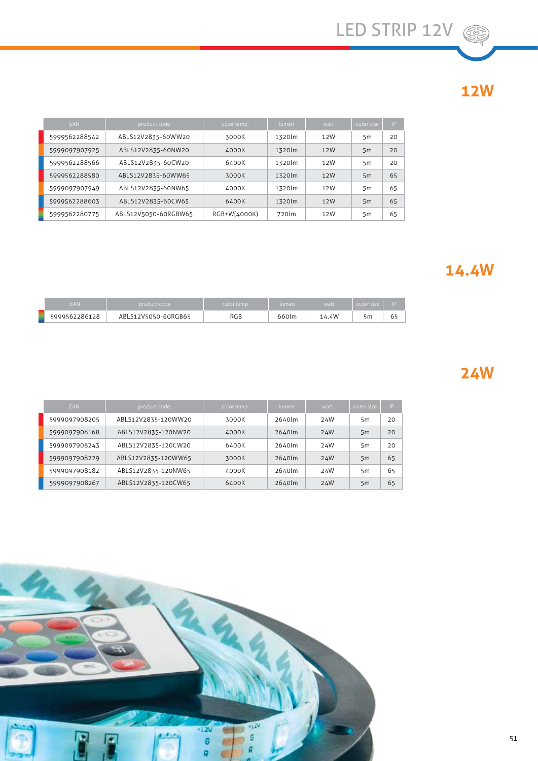# **12W**

| <b>EAN</b>    | product code         | color temp.  | lumen  | watt | outer size | IP |
|---------------|----------------------|--------------|--------|------|------------|----|
| 5999562288542 | ABLS12V2835-60WW20   | 3000K        | 1320lm | 12W  | 5m         | 20 |
| 5999097907925 | ABLS12V2835-60NW20   | 4000K        | 1320lm | 12W  | 5m         | 20 |
| 5999562288566 | ABLS12V2835-60CW20   | 6400K        | 1320lm | 12W  | 5m         | 20 |
| 5999562288580 | ABLS12V2835-60WW65   | 3000K        | 1320lm | 12W  | 5m         | 65 |
| 5999097907949 | ABLS12V2835-60NW65   | 4000K        | 1320lm | 12W  | 5m         | 65 |
| 5999562288603 | ABLS12V2835-60CW65   | 6400K        | 1320lm | 12W  | 5m         | 65 |
| 5999562280775 | ABLS12V5050-60RGBW65 | RGB+W(4000K) | 720lm  | 12W  | 5m         | 65 |

#### **14.4W**

| <b>EAN</b>    | product code        | color temp. | lumen | watt  | outer size |     |
|---------------|---------------------|-------------|-------|-------|------------|-----|
| 5999562286128 | ABLS12V5050-60RGB65 | RGB         | 660lm | 14.4W | 5m         | ∙∪∴ |

## **24W**

| <b>EAN</b>    | product code        | color temp. | lumen  | watt | outer size | IP |
|---------------|---------------------|-------------|--------|------|------------|----|
| 5999097908205 | ABLS12V2835-120WW20 | 3000K       | 2640lm | 24W  | 5m         | 20 |
| 5999097908168 | ABLS12V2835-120NW20 | 4000K       | 2640lm | 24W  | 5m         | 20 |
| 5999097908243 | ABLS12V2835-120CW20 | 6400K       | 2640lm | 24W  | 5m         | 20 |
| 5999097908229 | ABLS12V2835-120WW65 | 3000K       | 2640lm | 24W  | 5m         | 65 |
| 5999097908182 | ABLS12V2835-120NW65 | 4000K       | 2640lm | 24W  | 5m         | 65 |
| 5999097908267 | ABLS12V2835-120CW65 | 6400K       | 2640lm | 24W  | 5m         | 65 |

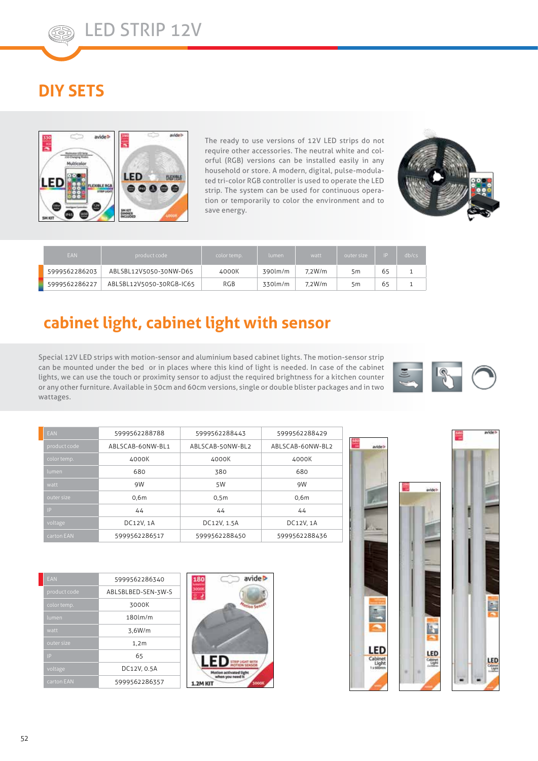## **DIY SETS**



The ready to use versions of 12V LED strips do not require other accessories. The neutral white and colorful (RGB) versions can be installed easily in any household or store. A modern, digital, pulse-modulated tri-color RGB controller is used to operate the LED strip. The system can be used for continuous operation or temporarily to color the environment and to save energy.



| <b>EAN</b>    | product code             | color temp. | lumen   | watt   | outer size | ID | db/cs |
|---------------|--------------------------|-------------|---------|--------|------------|----|-------|
| 5999562286203 | ABLSBL12V5050-30NW-D65   | 4000K       | 390lm/m | 7.2W/m | 5m         | 65 |       |
| 5999562286227 | ABLSBL12V5050-30RGB-IC65 | <b>RGB</b>  | 330lm/m | 7.2W/m | 5m         | 65 |       |

#### **cabinet light, cabinet light with sensor**

Special 12V LED strips with motion-sensor and aluminium based cabinet lights. The motion-sensor strip can be mounted under the bed or in places where this kind of light is needed. In case of the cabinet lights, we can use the touch or proximity sensor to adjust the required brightness for a kitchen counter or any other furniture. Available in 50cm and 60cm versions, single or double blister packages and in two wattages.



| EAN          | 5999562288788    | 5999562288443    | 5999562288429    |
|--------------|------------------|------------------|------------------|
| product code | ABLSCAB-60NW-BL1 | ABLSCAB-50NW-BL2 | ABLSCAB-60NW-BL2 |
| color temp.  | 4000K            | 4000K            | 4000K            |
| lumen        | 680              | 380              | 680              |
| watt         | 9W               | 5W               | 9W               |
| outer size   | 0.6 <sub>m</sub> | 0.5 <sub>m</sub> | 0,6m             |
| <b>IP</b>    | 44               | 44               | 44               |
| voltage      | DC12V, 1A        | DC12V, 1.5A      | DC12V, 1A        |
| carton EAN   | 5999562286517    | 5999562288450    | 5999562288436    |

| EAN          | 5999562286340      |
|--------------|--------------------|
| product code | ABLSBLBED-SEN-3W-S |
| color temp.  | 3000K              |
| lumen        | $180$ lm/m         |
| watt         | 3,6W/m             |
| outer size   | 1,2m               |
| IP           | 65                 |
| voltage      | DC12V, 0.5A        |
| carton EAN   | 5999562286357      |







LED

豒